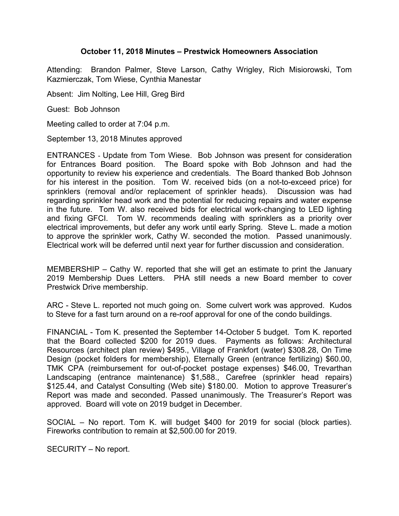## **October 11, 2018 Minutes – Prestwick Homeowners Association**

Attending: Brandon Palmer, Steve Larson, Cathy Wrigley, Rich Misiorowski, Tom Kazmierczak, Tom Wiese, Cynthia Manestar

Absent: Jim Nolting, Lee Hill, Greg Bird

Guest: Bob Johnson

Meeting called to order at 7:04 p.m.

September 13, 2018 Minutes approved

ENTRANCES - Update from Tom Wiese. Bob Johnson was present for consideration for Entrances Board position. The Board spoke with Bob Johnson and had the opportunity to review his experience and credentials. The Board thanked Bob Johnson for his interest in the position. Tom W. received bids (on a not-to-exceed price) for sprinklers (removal and/or replacement of sprinkler heads). Discussion was had regarding sprinkler head work and the potential for reducing repairs and water expense in the future. Tom W. also received bids for electrical work-changing to LED lighting and fixing GFCI. Tom W. recommends dealing with sprinklers as a priority over electrical improvements, but defer any work until early Spring. Steve L. made a motion to approve the sprinkler work, Cathy W. seconded the motion. Passed unanimously. Electrical work will be deferred until next year for further discussion and consideration.

MEMBERSHIP – Cathy W. reported that she will get an estimate to print the January 2019 Membership Dues Letters. PHA still needs a new Board member to cover Prestwick Drive membership.

ARC - Steve L. reported not much going on. Some culvert work was approved. Kudos to Steve for a fast turn around on a re-roof approval for one of the condo buildings.

FINANCIAL - Tom K. presented the September 14-October 5 budget. Tom K. reported that the Board collected \$200 for 2019 dues. Payments as follows: Architectural Resources (architect plan review) \$495., Village of Frankfort (water) \$308.28, On Time Design (pocket folders for membership), Eternally Green (entrance fertilizing) \$60.00, TMK CPA (reimbursement for out-of-pocket postage expenses) \$46.00, Trevarthan Landscaping (entrance maintenance) \$1,588., Carefree (sprinkler head repairs) \$125.44, and Catalyst Consulting (Web site) \$180.00. Motion to approve Treasurer's Report was made and seconded. Passed unanimously. The Treasurer's Report was approved. Board will vote on 2019 budget in December.

SOCIAL – No report. Tom K. will budget \$400 for 2019 for social (block parties). Fireworks contribution to remain at \$2,500.00 for 2019.

SECURITY – No report.